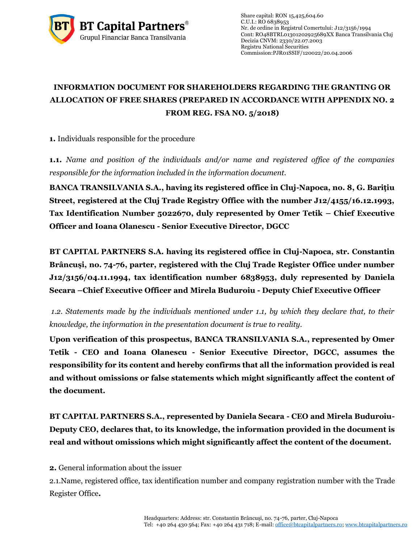

Share capital: RON 15,425,604.60  $C.U.I.: RO 6838953$ Nr. de ordine in Registrul Comertului: J12/3156/1994 Cont: RO48BTRL01301202925689XX Banca Transilvania Cluj Decizia CNVM: 2330/22.07.2003 Registru National Securities Commissio[n:PJR01SSIF/120022/](http://asfromania.ro/registru/detalii.php?id=11&nrcnvm=PJR01SSIF/120022&lng=1)20.04.2006

## **INFORMATION DOCUMENT FOR SHAREHOLDERS REGARDING THE GRANTING OR ALLOCATION OF FREE SHARES (PREPARED IN ACCORDANCE WITH APPENDIX NO. 2 FROM REG. FSA NO. 5/2018)**

**1.** Individuals responsible for the procedure

**1.1.** *Name and position of the individuals and/or name and registered office of the companies responsible for the information included in the information document.*

**BANCA TRANSILVANIA S.A., having its registered office in Cluj-Napoca, no. 8, G. Bariţiu Street, registered at the Cluj Trade Registry Office with the number J12/4155/16.12.1993, Tax Identification Number 5022670, duly represented by Omer Tetik – Chief Executive Officer and Ioana Olanescu - Senior Executive Director, DGCC**

**BT CAPITAL PARTNERS S.A. having its registered office in Cluj-Napoca, str. Constantin Brâncuşi, no. 74-76, parter, registered with the Cluj Trade Register Office under number J12/3156/04.11.1994, tax identification number 6838953, duly represented by Daniela Secara –Chief Executive Officer and Mirela Buduroiu - Deputy Chief Executive Officer**

*1.2. Statements made by the individuals mentioned under 1.1, by which they declare that, to their knowledge, the information in the presentation document is true to reality.* 

**Upon verification of this prospectus, BANCA TRANSILVANIA S.A., represented by Omer Tetik - CEO and Ioana Olanescu - Senior Executive Director, DGCC, assumes the responsibility for its content and hereby confirms that all the information provided is real and without omissions or false statements which might significantly affect the content of the document.**

**BT CAPITAL PARTNERS S.A., represented by Daniela Secara - CEO and Mirela Buduroiu-Deputy CEO, declares that, to its knowledge, the information provided in the document is real and without omissions which might significantly affect the content of the document.**

**2.** General information about the issuer

2.1.Name, registered office, tax identification number and company registration number with the Trade Register Office**.**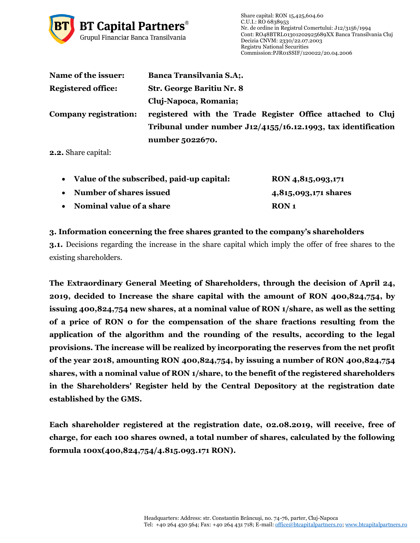

| Name of the issuer:       | <b>Banca Transilvania S.A;.</b>                                  |
|---------------------------|------------------------------------------------------------------|
| <b>Registered office:</b> | <b>Str. George Baritiu Nr. 8</b>                                 |
|                           | Cluj-Napoca, Romania;                                            |
| Company registration:     | registered with the Trade Register Office attached to Cluj       |
|                           | Tribunal under number $J12/4155/16.12.1993$ , tax identification |
|                           | number 5022670.                                                  |

**2.2.** Share capital:

| • Value of the subscribed, paid-up capital: | RON 4,815,093,171    |
|---------------------------------------------|----------------------|
| • Number of shares issued                   | 4,815,093,171 shares |
| • Nominal value of a share                  | RON 1                |

## **3. Information concerning the free shares granted to the company's shareholders**

**3.1.** Decisions regarding the increase in the share capital which imply the offer of free shares to the existing shareholders.

**The Extraordinary General Meeting of Shareholders, through the decision of April 24, 2019, decided to Increase the share capital with the amount of RON 400,824,754, by issuing 400,824,754 new shares, at a nominal value of RON 1/share, as well as the setting of a price of RON 0 for the compensation of the share fractions resulting from the application of the algorithm and the rounding of the results, according to the legal provisions. The increase will be realized by incorporating the reserves from the net profit of the year 2018, amounting RON 400,824,754, by issuing a number of RON 400,824,754 shares, with a nominal value of RON 1/share, to the benefit of the registered shareholders in the Shareholders' Register held by the Central Depository at the registration date established by the GMS.**

**Each shareholder registered at the registration date, 02.08.2019, will receive, free of charge, for each 100 shares owned, a total number of shares, calculated by the following formula 100x(400,824,754/4.815.093.171 RON).**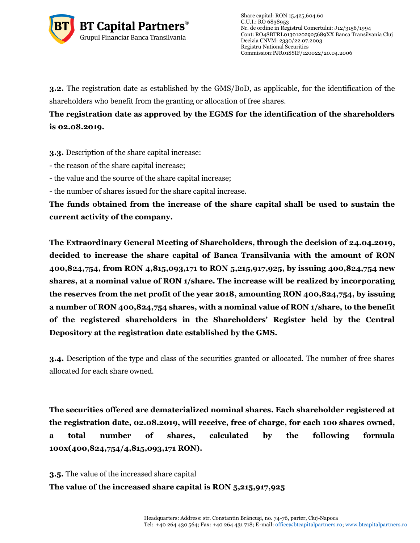

**3.2.** The registration date as established by the GMS/BoD, as applicable, for the identification of the shareholders who benefit from the granting or allocation of free shares.

**The registration date as approved by the EGMS for the identification of the shareholders is 02.08.2019.**

**3.3.** Description of the share capital increase:

- the reason of the share capital increase;

- the value and the source of the share capital increase;

- the number of shares issued for the share capital increase.

**The funds obtained from the increase of the share capital shall be used to sustain the current activity of the company.**

**The Extraordinary General Meeting of Shareholders, through the decision of 24.04.2019, decided to increase the share capital of Banca Transilvania with the amount of RON 400,824,754, from RON 4,815,093,171 to RON 5,215,917,925, by issuing 400,824,754 new shares, at a nominal value of RON 1/share. The increase will be realized by incorporating the reserves from the net profit of the year 2018, amounting RON 400,824,754, by issuing a number of RON 400,824,754 shares, with a nominal value of RON 1/share, to the benefit of the registered shareholders in the Shareholders' Register held by the Central Depository at the registration date established by the GMS.**

**3.4.** Description of the type and class of the securities granted or allocated. The number of free shares allocated for each share owned.

**The securities offered are dematerialized nominal shares. Each shareholder registered at the registration date, 02.08.2019, will receive, free of charge, for each 100 shares owned, a total number of shares, calculated by the following formula 100x(400,824,754/4,815,093,171 RON).**

**3.5.** The value of the increased share capital **The value of the increased share capital is RON 5,215,917,925**